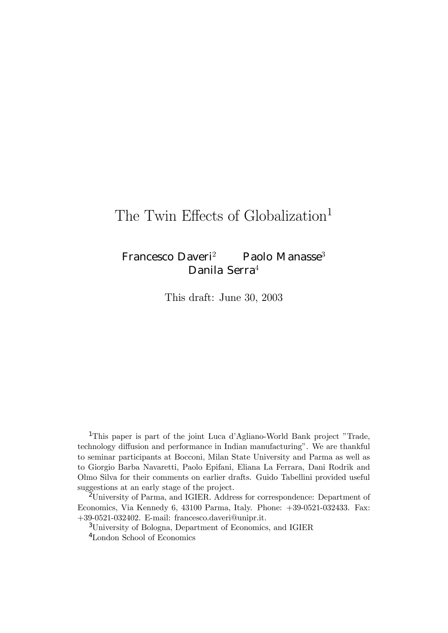# The Twin Effects of Globalization<sup>1</sup>

## Francesco Daveri<sup>2</sup> Paolo Manasse<sup>3</sup> Danila Serra<sup>4</sup>

This draft: June 30, 2003

<sup>1</sup>This paper is part of the joint Luca d'Agliano-World Bank project "Trade, technology diffusion and performance in Indian manufacturing". We are thankful to seminar participants at Bocconi, Milan State University and Parma as well as to Giorgio Barba Navaretti, Paolo Epifani, Eliana La Ferrara, Dani Rodrik and Olmo Silva for their comments on earlier drafts. Guido Tabellini provided useful suggestions at an early stage of the project.

<sup>2</sup>University of Parma, and IGIER. Address for correspondence: Department of Economics, Via Kennedy 6, 43100 Parma, Italy. Phone: +39-0521-032433. Fax: +39-0521-032402. E-mail: francesco.daveri@unipr.it.

<sup>3</sup>University of Bologna, Department of Economics, and IGIER

<sup>4</sup>London School of Economics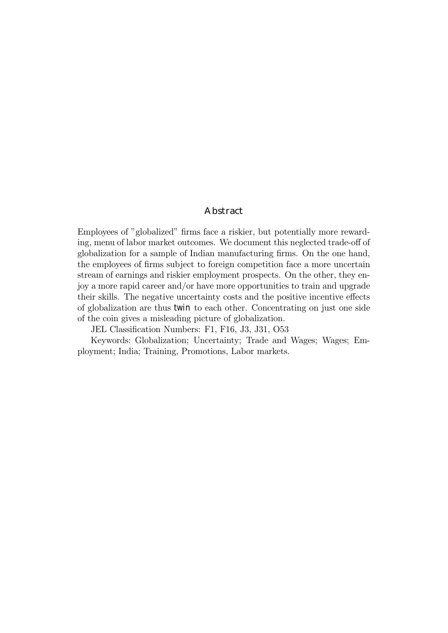#### Abstract

Employees of "globalized" firms face a riskier, but potentially more rewarding, menu of labor market outcomes. We document this neglected trade-off of globalization for a sample of Indian manufacturing firms. On the one hand, the employees of firms subject to foreign competition face a more uncertain stream of earnings and riskier employment prospects. On the other, they enjoy a more rapid career and/or have more opportunities to train and upgrade their skills. The negative uncertainty costs and the positive incentive effects of globalization are thus twin to each other. Concentrating on just one side of the coin gives a misleading picture of globalization.

JEL Classification Numbers: F1, F16, J3, J31, O53

Keywords: Globalization; Uncertainty; Trade and Wages; Wages; Employment; India; Training, Promotions, Labor markets.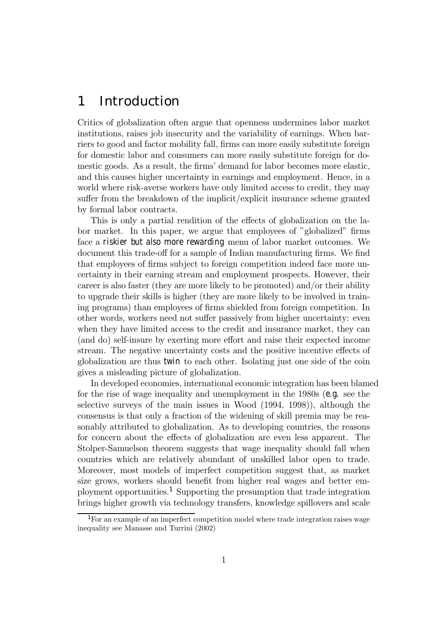## 1 Introduction

Critics of globalization often argue that openness undermines labor market institutions, raises job insecurity and the variability of earnings. When barriers to good and factor mobility fall, firms can more easily substitute foreign for domestic labor and consumers can more easily substitute foreign for domestic goods. As a result, the firms' demand for labor becomes more elastic, and this causes higher uncertainty in earnings and employment. Hence, in a world where risk-averse workers have only limited access to credit, they may suffer from the breakdown of the implicit/explicit insurance scheme granted by formal labor contracts.

This is only a partial rendition of the effects of globalization on the labor market. In this paper, we argue that employees of "globalized" firms face a riskier but also more rewarding menu of labor market outcomes. We document this trade-off for a sample of Indian manufacturing firms. We find that employees of firms subject to foreign competition indeed face more uncertainty in their earning stream and employment prospects. However, their career is also faster (they are more likely to be promoted) and/or their ability to upgrade their skills is higher (they are more likely to be involved in training programs) than employees of firms shielded from foreign competition. In other words, workers need not suffer passively from higher uncertainty: even when they have limited access to the credit and insurance market, they can (and do) self-insure by exerting more effort and raise their expected income stream. The negative uncertainty costs and the positive incentive effects of globalization are thus twin to each other. Isolating just one side of the coin gives a misleading picture of globalization.

In developed economies, international economic integration has been blamed for the rise of wage inequality and unemployment in the 1980s (e.g. see the selective surveys of the main issues in Wood (1994, 1998)), although the consensus is that only a fraction of the widening of skill premia may be reasonably attributed to globalization. As to developing countries, the reasons for concern about the effects of globalization are even less apparent. The Stolper-Samuelson theorem suggests that wage inequality should fall when countries which are relatively abundant of unskilled labor open to trade. Moreover, most models of imperfect competition suggest that, as market size grows, workers should benefit from higher real wages and better employment opportunities.<sup>1</sup> Supporting the presumption that trade integration brings higher growth via technology transfers, knowledge spillovers and scale

<sup>&</sup>lt;sup>1</sup>For an example of an imperfect competition model where trade integration raises wage inequality see Manasse and Turrini (2002)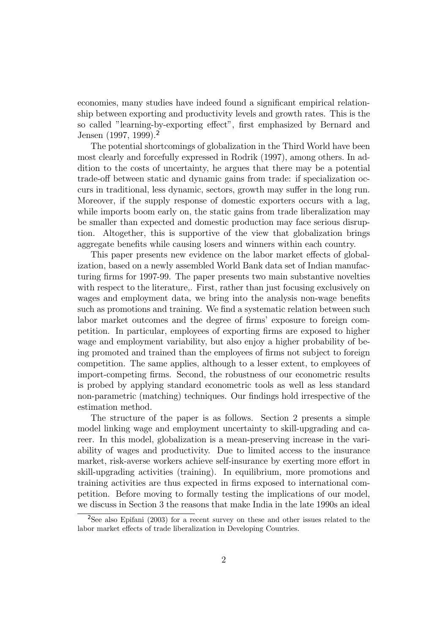economies, many studies have indeed found a significant empirical relationship between exporting and productivity levels and growth rates. This is the so called "learning-by-exporting effect", first emphasized by Bernard and Jensen (1997, 1999).<sup>2</sup>

The potential shortcomings of globalization in the Third World have been most clearly and forcefully expressed in Rodrik (1997), among others. In addition to the costs of uncertainty, he argues that there may be a potential trade-off between static and dynamic gains from trade: if specialization occurs in traditional, less dynamic, sectors, growth may suffer in the long run. Moreover, if the supply response of domestic exporters occurs with a lag, while imports boom early on, the static gains from trade liberalization may be smaller than expected and domestic production may face serious disruption. Altogether, this is supportive of the view that globalization brings aggregate benefits while causing losers and winners within each country.

This paper presents new evidence on the labor market effects of globalization, based on a newly assembled World Bank data set of Indian manufacturing firms for 1997-99. The paper presents two main substantive novelties with respect to the literature,. First, rather than just focusing exclusively on wages and employment data, we bring into the analysis non-wage benefits such as promotions and training. We find a systematic relation between such labor market outcomes and the degree of firmsí exposure to foreign competition. In particular, employees of exporting firms are exposed to higher wage and employment variability, but also enjoy a higher probability of being promoted and trained than the employees of firms not subject to foreign competition. The same applies, although to a lesser extent, to employees of import-competing firms. Second, the robustness of our econometric results is probed by applying standard econometric tools as well as less standard non-parametric (matching) techniques. Our findings hold irrespective of the estimation method.

The structure of the paper is as follows. Section 2 presents a simple model linking wage and employment uncertainty to skill-upgrading and career. In this model, globalization is a mean-preserving increase in the variability of wages and productivity. Due to limited access to the insurance market, risk-averse workers achieve self-insurance by exerting more effort in skill-upgrading activities (training). In equilibrium, more promotions and training activities are thus expected in firms exposed to international competition. Before moving to formally testing the implications of our model, we discuss in Section 3 the reasons that make India in the late 1990s an ideal

<sup>2</sup>See also Epifani (2003) for a recent survey on these and other issues related to the labor market effects of trade liberalization in Developing Countries.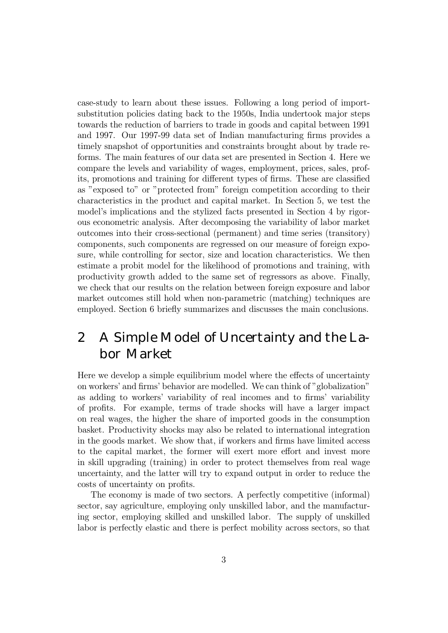case-study to learn about these issues. Following a long period of importsubstitution policies dating back to the 1950s, India undertook major steps towards the reduction of barriers to trade in goods and capital between 1991 and 1997. Our 1997-99 data set of Indian manufacturing firms provides a timely snapshot of opportunities and constraints brought about by trade reforms. The main features of our data set are presented in Section 4. Here we compare the levels and variability of wages, employment, prices, sales, profits, promotions and training for different types of firms. These are classified as "exposed to" or "protected from" foreign competition according to their characteristics in the product and capital market. In Section 5, we test the model's implications and the stylized facts presented in Section 4 by rigorous econometric analysis. After decomposing the variability of labor market outcomes into their cross-sectional (permanent) and time series (transitory) components, such components are regressed on our measure of foreign exposure, while controlling for sector, size and location characteristics. We then estimate a probit model for the likelihood of promotions and training, with productivity growth added to the same set of regressors as above. Finally, we check that our results on the relation between foreign exposure and labor market outcomes still hold when non-parametric (matching) techniques are employed. Section 6 briefly summarizes and discusses the main conclusions.

## 2 A Simple Model of Uncertainty and the Labor Market

Here we develop a simple equilibrium model where the effects of uncertainty on workers' and firms' behavior are modelled. We can think of "globalization" as adding to workers' variability of real incomes and to firms' variability of profits. For example, terms of trade shocks will have a larger impact on real wages, the higher the share of imported goods in the consumption basket. Productivity shocks may also be related to international integration in the goods market. We show that, if workers and firms have limited access to the capital market, the former will exert more effort and invest more in skill upgrading (training) in order to protect themselves from real wage uncertainty, and the latter will try to expand output in order to reduce the costs of uncertainty on profits.

The economy is made of two sectors. A perfectly competitive (informal) sector, say agriculture, employing only unskilled labor, and the manufacturing sector, employing skilled and unskilled labor. The supply of unskilled labor is perfectly elastic and there is perfect mobility across sectors, so that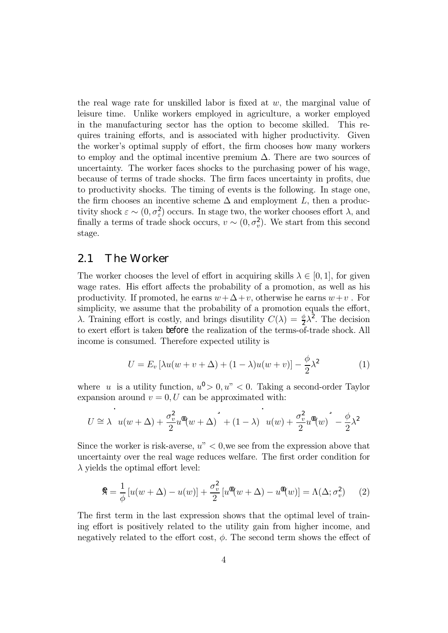the real wage rate for unskilled labor is fixed at  $w$ , the marginal value of leisure time. Unlike workers employed in agriculture, a worker employed in the manufacturing sector has the option to become skilled. This requires training efforts, and is associated with higher productivity. Given the worker's optimal supply of effort, the firm chooses how many workers to employ and the optimal incentive premium  $\Delta$ . There are two sources of uncertainty. The worker faces shocks to the purchasing power of his wage, because of terms of trade shocks. The firm faces uncertainty in profits, due to productivity shocks. The timing of events is the following. In stage one, the firm chooses an incentive scheme  $\Delta$  and employment L, then a productivity shock  $\varepsilon \sim (0, \sigma_{\varepsilon}^2)$  occurs. In stage two, the worker chooses effort  $\lambda$ , and finally a terms of trade shock occurs,  $v \sim (0, \sigma_v^2)$ . We start from this second stage.

### 2.1 The Worker

The worker chooses the level of effort in acquiring skills  $\lambda \in [0,1]$ , for given wage rates. His effort affects the probability of a promotion, as well as his productivity. If promoted, he earns  $w + \Delta + v$ , otherwise he earns  $w + v$ . For simplicity, we assume that the probability of a promotion equals the effort, λ. Training effort is costly, and brings disutility  $C(λ) = \frac{φ}{2λ^2}$ . The decision to exert effort is taken before the realization of the terms-of-trade shock. All income is consumed. Therefore expected utility is

$$
U = E_v \left[ \lambda u(w + v + \Delta) + (1 - \lambda) u(w + v) \right] - \frac{\phi}{2} \lambda^2 \tag{1}
$$

where u is a utility function,  $u^0 > 0, u^v < 0$ . Taking a second-order Taylor expansion around  $v = 0, U$  can be approximated with:

$$
U \cong \lambda \quad u(w+\Delta) + \frac{\sigma_v^2}{2}u^{\mathfrak{A}}(w+\Delta)^{\mathfrak{A}} + (1-\lambda) \quad u(w) + \frac{\sigma_v^2}{2}u^{\mathfrak{A}}(w)^{\mathfrak{A}} - \frac{\phi}{2}\lambda^2
$$

Since the worker is risk-averse,  $u'' < 0$ , we see from the expression above that uncertainty over the real wage reduces welfare. The first order condition for  $\lambda$  yields the optimal effort level:

$$
\mathfrak{K} = \frac{1}{\phi} \left[ u(w + \Delta) - u(w) \right] + \frac{\sigma_v^2}{2} \left[ u^{\mathbf{0}}(w + \Delta) - u^{\mathbf{0}}(w) \right] = \Lambda(\Delta; \sigma_v^2) \tag{2}
$$

The first term in the last expression shows that the optimal level of training effort is positively related to the utility gain from higher income, and negatively related to the effort cost,  $\phi$ . The second term shows the effect of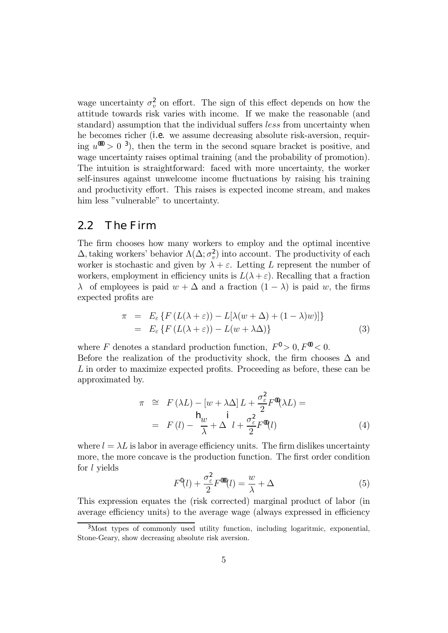wage uncertainty  $\sigma_v^2$  on effort. The sign of this effect depends on how the attitude towards risk varies with income. If we make the reasonable (and standard) assumption that the individual suffers less from uncertainty when he becomes richer (i.e. we assume decreasing absolute risk-aversion, requiring  $u^{000} > 0^{3}$ , then the term in the second square bracket is positive, and wage uncertainty raises optimal training (and the probability of promotion). The intuition is straightforward: faced with more uncertainty, the worker self-insures against unwelcome income fluctuations by raising his training and productivity effort. This raises is expected income stream, and makes him less "vulnerable" to uncertainty.

### 2.2 The Firm

The firm chooses how many workers to employ and the optimal incentive  $\Delta$ , taking workers' behavior  $\Lambda(\Delta; \sigma_v^2)$  into account. The productivity of each worker is stochastic and given by  $\lambda + \varepsilon$ . Letting L represent the number of workers, employment in efficiency units is  $L(\lambda + \varepsilon)$ . Recalling that a fraction  $\lambda$  of employees is paid  $w + \Delta$  and a fraction  $(1 - \lambda)$  is paid w, the firms expected profits are

$$
\pi = E_{\varepsilon} \{ F (L(\lambda + \varepsilon)) - L[\lambda(w + \Delta) + (1 - \lambda)w)] \}
$$
  
= 
$$
E_{\varepsilon} \{ F (L(\lambda + \varepsilon)) - L(w + \lambda \Delta) \}
$$
 (3)

where F denotes a standard production function,  $F^0 > 0, F^0 < 0$ . Before the realization of the productivity shock, the firm chooses  $\Delta$  and L in order to maximize expected profits. Proceeding as before, these can be approximated by.

$$
\pi \cong F(\lambda L) - [w + \lambda \Delta] L + \frac{\sigma_{\varepsilon}^2}{2} F^{\mathbf{0}}(\lambda L) =
$$
\n
$$
= F(l) - \frac{\mathsf{h}_w}{\lambda} + \Delta l + \frac{\sigma_{\varepsilon}^2}{2} F^{\mathbf{0}}(l) \tag{4}
$$

where  $l = \lambda L$  is labor in average efficiency units. The firm dislikes uncertainty more, the more concave is the production function. The first order condition for l yields

$$
F^{\mathbf{0}}(l) + \frac{\sigma_{\varepsilon}^2}{2} F^{\mathbf{000}}(l) = \frac{w}{\lambda} + \Delta \tag{5}
$$

This expression equates the (risk corrected) marginal product of labor (in average efficiency units) to the average wage (always expressed in efficiency

<sup>3</sup>Most types of commonly used utility function, including logaritmic, exponential, Stone-Geary, show decreasing absolute risk aversion.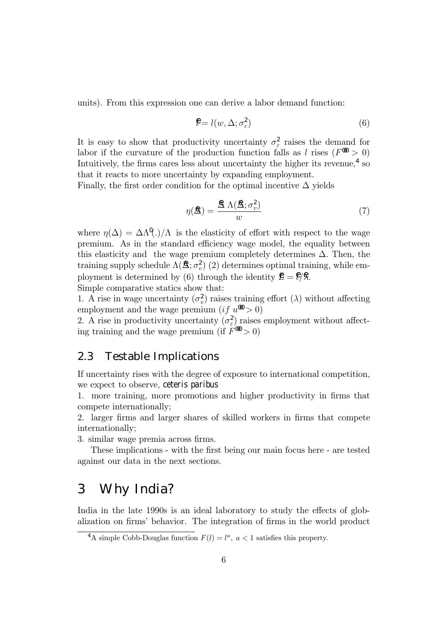units). From this expression one can derive a labor demand function:

$$
\mathbf{\mathcal{F}} = l(w, \Delta; \sigma_{\varepsilon}^2) \tag{6}
$$

It is easy to show that productivity uncertainty  $\sigma_{\varepsilon}^2$  raises the demand for labor if the curvature of the production function falls as l rises ( $F^{000} > 0$ ) Intuitively, the firms cares less about uncertainty the higher its revenue,  $4\text{ so}$ that it reacts to more uncertainty by expanding employment.

Finally, the first order condition for the optimal incentive  $\Delta$  yields

$$
\eta(\mathbf{\hat{A}}) = \frac{\mathbf{\hat{A}} \Lambda(\mathbf{\hat{A}}; \sigma_v^2)}{w} \tag{7}
$$

where  $\eta(\Delta) = \Delta \Lambda^{\mathfrak{g}}(.)/\Lambda$  is the elasticity of effort with respect to the wage premium. As in the standard efficiency wage model, the equality between this elasticity and the wage premium completely determines  $\Delta$ . Then, the training supply schedule  $\Lambda(\mathbf{\hat{\Delta}}; \sigma_v^2)$  (2) determines optimal training, while employment is determined by (6) through the identity  $\mathbf{\hat{E}} = \mathbf{\hat{E}}/\mathbf{\hat{S}}$ . Simple comparative statics show that:

1. A rise in wage uncertainty  $(\sigma_v^2)$  raises training effort  $(\lambda)$  without affecting employment and the wage premium (if  $u^{00} > 0$ )

2. A rise in productivity uncertainty  $(\sigma_{\varepsilon}^2)$  raises employment without affecting training and the wage premium (if  $F^{00} > 0$ )

### 2.3 Testable Implications

If uncertainty rises with the degree of exposure to international competition, we expect to observe, ceteris paribus

1. more training, more promotions and higher productivity in firms that compete internationally;

2. larger firms and larger shares of skilled workers in firms that compete internationally;

3. similar wage premia across firms.

These implications - with the first being our main focus here - are tested against our data in the next sections.

## 3 Why India?

India in the late 1990s is an ideal laboratory to study the effects of globalization on firms' behavior. The integration of firms in the world product

<sup>&</sup>lt;sup>4</sup>A simple Cobb-Douglas function  $F(l) = l^a$ ,  $a < 1$  satisfies this property.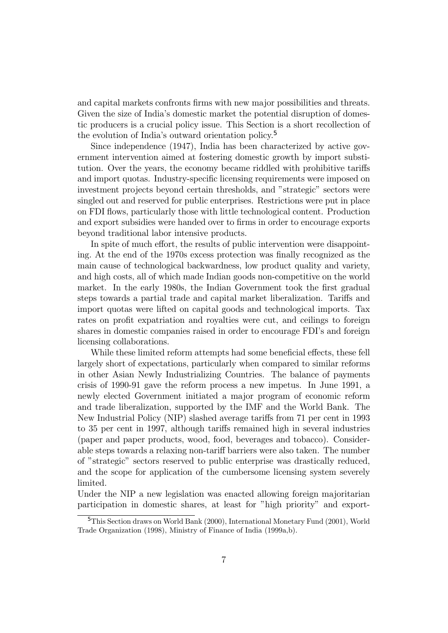and capital markets confronts firms with new major possibilities and threats. Given the size of India's domestic market the potential disruption of domestic producers is a crucial policy issue. This Section is a short recollection of the evolution of India's outward orientation policy.<sup>5</sup>

Since independence (1947), India has been characterized by active government intervention aimed at fostering domestic growth by import substitution. Over the years, the economy became riddled with prohibitive tariffs and import quotas. Industry-specific licensing requirements were imposed on investment projects beyond certain thresholds, and "strategic" sectors were singled out and reserved for public enterprises. Restrictions were put in place on FDI flows, particularly those with little technological content. Production and export subsidies were handed over to firms in order to encourage exports beyond traditional labor intensive products.

In spite of much effort, the results of public intervention were disappointing. At the end of the 1970s excess protection was finally recognized as the main cause of technological backwardness, low product quality and variety, and high costs, all of which made Indian goods non-competitive on the world market. In the early 1980s, the Indian Government took the first gradual steps towards a partial trade and capital market liberalization. Tariffs and import quotas were lifted on capital goods and technological imports. Tax rates on profit expatriation and royalties were cut, and ceilings to foreign shares in domestic companies raised in order to encourage FDI's and foreign licensing collaborations.

While these limited reform attempts had some beneficial effects, these fell largely short of expectations, particularly when compared to similar reforms in other Asian Newly Industrializing Countries. The balance of payments crisis of 1990-91 gave the reform process a new impetus. In June 1991, a newly elected Government initiated a major program of economic reform and trade liberalization, supported by the IMF and the World Bank. The New Industrial Policy (NIP) slashed average tariffs from 71 per cent in 1993 to 35 per cent in 1997, although tariffs remained high in several industries (paper and paper products, wood, food, beverages and tobacco). Considerable steps towards a relaxing non-tariff barriers were also taken. The number of îstrategicî sectors reserved to public enterprise was drastically reduced, and the scope for application of the cumbersome licensing system severely limited.

Under the NIP a new legislation was enacted allowing foreign majoritarian participation in domestic shares, at least for "high priority" and export-

<sup>5</sup>This Section draws on World Bank (2000), International Monetary Fund (2001), World Trade Organization (1998), Ministry of Finance of India (1999a,b).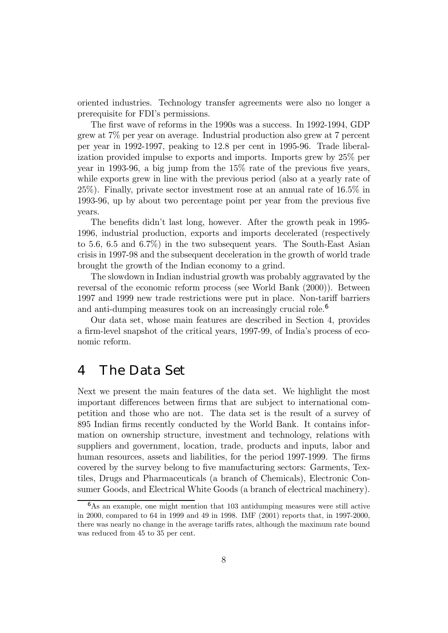oriented industries. Technology transfer agreements were also no longer a prerequisite for FDI's permissions.

The first wave of reforms in the 1990s was a success. In 1992-1994, GDP grew at 7% per year on average. Industrial production also grew at 7 percent per year in 1992-1997, peaking to 12.8 per cent in 1995-96. Trade liberalization provided impulse to exports and imports. Imports grew by 25% per year in 1993-96, a big jump from the 15% rate of the previous five years, while exports grew in line with the previous period (also at a yearly rate of 25%). Finally, private sector investment rose at an annual rate of 16.5% in 1993-96, up by about two percentage point per year from the previous five years.

The benefits didn't last long, however. After the growth peak in 1995-1996, industrial production, exports and imports decelerated (respectively to 5.6, 6.5 and 6.7%) in the two subsequent years. The South-East Asian crisis in 1997-98 and the subsequent deceleration in the growth of world trade brought the growth of the Indian economy to a grind.

The slowdown in Indian industrial growth was probably aggravated by the reversal of the economic reform process (see World Bank (2000)). Between 1997 and 1999 new trade restrictions were put in place. Non-tariff barriers and anti-dumping measures took on an increasingly crucial role.<sup>6</sup>

Our data set, whose main features are described in Section 4, provides a firm-level snapshot of the critical years, 1997-99, of Indiaís process of economic reform.

## 4 The Data Set

Next we present the main features of the data set. We highlight the most important differences between firms that are subject to international competition and those who are not. The data set is the result of a survey of 895 Indian firms recently conducted by the World Bank. It contains information on ownership structure, investment and technology, relations with suppliers and government, location, trade, products and inputs, labor and human resources, assets and liabilities, for the period 1997-1999. The firms covered by the survey belong to five manufacturing sectors: Garments, Textiles, Drugs and Pharmaceuticals (a branch of Chemicals), Electronic Consumer Goods, and Electrical White Goods (a branch of electrical machinery).

 $6$ As an example, one might mention that 103 antidumping measures were still active in 2000, compared to 64 in 1999 and 49 in 1998. IMF (2001) reports that, in 1997-2000, there was nearly no change in the average tariffs rates, although the maximum rate bound was reduced from 45 to 35 per cent.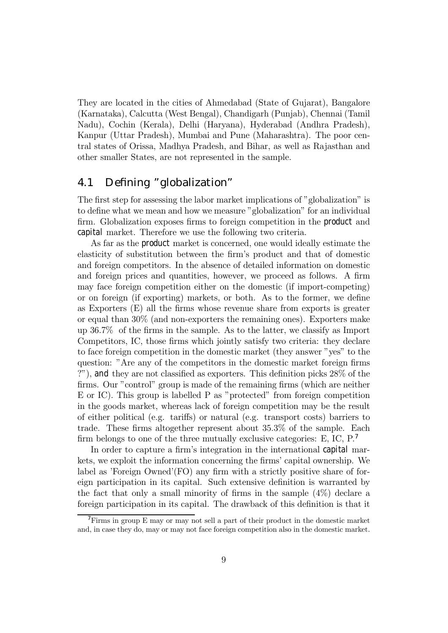They are located in the cities of Ahmedabad (State of Gujarat), Bangalore (Karnataka), Calcutta (West Bengal), Chandigarh (Punjab), Chennai (Tamil Nadu), Cochin (Kerala), Delhi (Haryana), Hyderabad (Andhra Pradesh), Kanpur (Uttar Pradesh), Mumbai and Pune (Maharashtra). The poor central states of Orissa, Madhya Pradesh, and Bihar, as well as Rajasthan and other smaller States, are not represented in the sample.

### 4.1 Defining "globalization"

The first step for assessing the labor market implications of "globalization" is to define what we mean and how we measure "globalization" for an individual firm. Globalization exposes firms to foreign competition in the product and capital market. Therefore we use the following two criteria.

As far as the product market is concerned, one would ideally estimate the elasticity of substitution between the firmís product and that of domestic and foreign competitors. In the absence of detailed information on domestic and foreign prices and quantities, however, we proceed as follows. A firm may face foreign competition either on the domestic (if import-competing) or on foreign (if exporting) markets, or both. As to the former, we define as Exporters (E) all the firms whose revenue share from exports is greater or equal than 30% (and non-exporters the remaining ones). Exporters make up 36.7% of the firms in the sample. As to the latter, we classify as Import Competitors, IC, those firms which jointly satisfy two criteria: they declare to face foreign competition in the domestic market (they answer "yes" to the question: "Are any of the competitors in the domestic market foreign firms ?î), and they are not classified as exporters. This definition picks 28% of the firms. Our "control" group is made of the remaining firms (which are neither  $E$  or IC). This group is labelled  $P$  as "protected" from foreign competition in the goods market, whereas lack of foreign competition may be the result of either political (e.g. tariffs) or natural (e.g. transport costs) barriers to trade. These firms altogether represent about 35.3% of the sample. Each firm belongs to one of the three mutually exclusive categories:  $E$ , IC,  $P$ <sup>7</sup>

In order to capture a firm's integration in the international capital markets, we exploit the information concerning the firmsí capital ownership. We label as  $'Foreign$  Owned $'(FO)$  any firm with a strictly positive share of foreign participation in its capital. Such extensive definition is warranted by the fact that only a small minority of firms in the sample  $(4\%)$  declare a foreign participation in its capital. The drawback of this definition is that it

<sup>7</sup>Firms in group E may or may not sell a part of their product in the domestic market and, in case they do, may or may not face foreign competition also in the domestic market.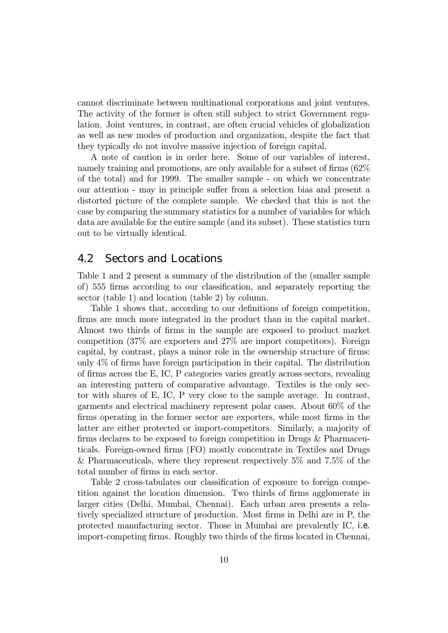cannot discriminate between multinational corporations and joint ventures. The activity of the former is often still subject to strict Government regulation. Joint ventures, in contrast, are often crucial vehicles of globalization as well as new modes of production and organization, despite the fact that they typically do not involve massive injection of foreign capital.

A note of caution is in order here. Some of our variables of interest, namely training and promotions, are only available for a subset of firms (62% of the total) and for 1999. The smaller sample - on which we concentrate our attention - may in principle suffer from a selection bias and present a distorted picture of the complete sample. We checked that this is not the case by comparing the summary statistics for a number of variables for which data are available for the entire sample (and its subset). These statistics turn out to be virtually identical.

### 4.2 Sectors and Locations

Table 1 and 2 present a summary of the distribution of the (smaller sample of) 555 firms according to our classification, and separately reporting the sector (table 1) and location (table 2) by column.

Table 1 shows that, according to our definitions of foreign competition, firms are much more integrated in the product than in the capital market. Almost two thirds of firms in the sample are exposed to product market competition (37% are exporters and 27% are import competitors). Foreign capital, by contrast, plays a minor role in the ownership structure of firms: only 4% of firms have foreign participation in their capital. The distribution of firms across the E, IC, P categories varies greatly across sectors, revealing an interesting pattern of comparative advantage. Textiles is the only sector with shares of E, IC, P very close to the sample average. In contrast, garments and electrical machinery represent polar cases. About 60% of the firms operating in the former sector are exporters, while most firms in the latter are either protected or import-competitors. Similarly, a majority of firms declares to be exposed to foreign competition in Drugs & Pharmaceuticals. Foreign-owned firms (FO) mostly concentrate in Textiles and Drugs & Pharmaceuticals, where they represent respectively 5% and 7.5% of the total number of firms in each sector.

Table 2 cross-tabulates our classification of exposure to foreign competition against the location dimension. Two thirds of firms agglomerate in larger cities (Delhi, Mumbai, Chennai). Each urban area presents a relatively specialized structure of production. Most firms in Delhi are in P, the protected manufacturing sector. Those in Mumbai are prevalently IC, i.e. import-competing firms. Roughly two thirds of the firms located in Chennai,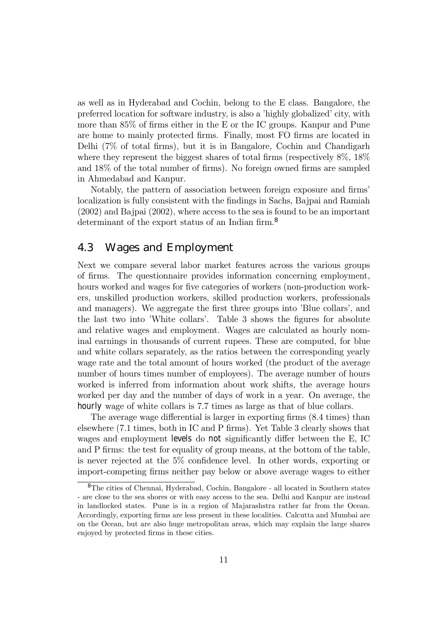as well as in Hyderabad and Cochin, belong to the E class. Bangalore, the preferred location for software industry, is also a 'highly globalized' city, with more than 85% of firms either in the E or the IC groups. Kanpur and Pune are home to mainly protected firms. Finally, most FO firms are located in Delhi (7% of total firms), but it is in Bangalore, Cochin and Chandigarh where they represent the biggest shares of total firms (respectively  $8\%$ ,  $18\%$ ) and 18% of the total number of firms). No foreign owned firms are sampled in Ahmedabad and Kanpur.

Notably, the pattern of association between foreign exposure and firms' localization is fully consistent with the findings in Sachs, Bajpai and Ramiah (2002) and Bajpai (2002), where access to the sea is found to be an important determinant of the export status of an Indian firm.<sup>8</sup>

### 4.3 Wages and Employment

Next we compare several labor market features across the various groups of firms. The questionnaire provides information concerning employment, hours worked and wages for five categories of workers (non-production workers, unskilled production workers, skilled production workers, professionals and managers). We aggregate the first three groups into 'Blue collars', and the last two into 'White collars'. Table 3 shows the figures for absolute and relative wages and employment. Wages are calculated as hourly nominal earnings in thousands of current rupees. These are computed, for blue and white collars separately, as the ratios between the corresponding yearly wage rate and the total amount of hours worked (the product of the average number of hours times number of employees). The average number of hours worked is inferred from information about work shifts, the average hours worked per day and the number of days of work in a year. On average, the hourly wage of white collars is 7.7 times as large as that of blue collars.

The average wage differential is larger in exporting firms (8.4 times) than elsewhere (7.1 times, both in IC and P firms). Yet Table 3 clearly shows that wages and employment levels do not significantly differ between the E, IC and P firms: the test for equality of group means, at the bottom of the table, is never rejected at the 5% confidence level. In other words, exporting or import-competing firms neither pay below or above average wages to either

<sup>8</sup>The cities of Chennai, Hyderabad, Cochin, Bangalore - all located in Southern states - are close to the sea shores or with easy access to the sea. Delhi and Kanpur are instead in landlocked states. Pune is in a region of Majarashstra rather far from the Ocean. Accordingly, exporting firms are less present in these localities. Calcutta and Mumbai are on the Ocean, but are also huge metropolitan areas, which may explain the large shares enjoyed by protected firms in these cities.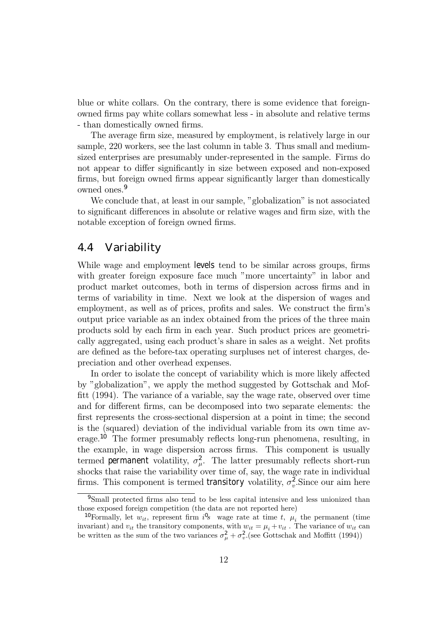blue or white collars. On the contrary, there is some evidence that foreignowned firms pay white collars somewhat less - in absolute and relative terms - than domestically owned firms.

The average firm size, measured by employment, is relatively large in our sample, 220 workers, see the last column in table 3. Thus small and mediumsized enterprises are presumably under-represented in the sample. Firms do not appear to differ significantly in size between exposed and non-exposed firms, but foreign owned firms appear significantly larger than domestically owned ones.<sup>9</sup>

We conclude that, at least in our sample, "globalization" is not associated to significant differences in absolute or relative wages and firm size, with the notable exception of foreign owned firms.

### 4.4 Variability

While wage and employment levels tend to be similar across groups, firms with greater foreign exposure face much "more uncertainty" in labor and product market outcomes, both in terms of dispersion across firms and in terms of variability in time. Next we look at the dispersion of wages and employment, as well as of prices, profits and sales. We construct the firmís output price variable as an index obtained from the prices of the three main products sold by each firm in each year. Such product prices are geometrically aggregated, using each product's share in sales as a weight. Net profits are defined as the before-tax operating surpluses net of interest charges, depreciation and other overhead expenses.

In order to isolate the concept of variability which is more likely affected by îglobalizationî, we apply the method suggested by Gottschak and Moffitt (1994). The variance of a variable, say the wage rate, observed over time and for different firms, can be decomposed into two separate elements: the first represents the cross-sectional dispersion at a point in time; the second is the (squared) deviation of the individual variable from its own time average.<sup>10</sup> The former presumably reflects long-run phenomena, resulting, in the example, in wage dispersion across firms. This component is usually termed permanent volatility,  $\sigma_{\mu}^2$ . The latter presumably reflects short-run shocks that raise the variability over time of, say, the wage rate in individual firms. This component is termed transitory volatility,  $\sigma_v^2$ . Since our aim here

<sup>9</sup>Small protected firms also tend to be less capital intensive and less unionized than those exposed foreign competition (the data are not reported here)

<sup>&</sup>lt;sup>10</sup>Formally, let  $w_{it}$ , represent firm  $i^0 s$  wage rate at time t,  $\mu_i$  the permanent (time invariant) and  $v_{it}$  the transitory components, with  $w_{it} = \mu_i + v_{it}$ . The variance of  $w_{it}$  can be written as the sum of the two variances  $\sigma_{\mu}^2 + \sigma_{\nu}^2$  (see Gottschak and Moffitt (1994))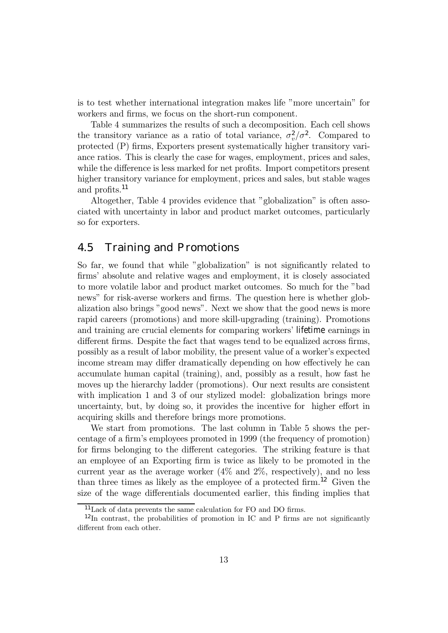is to test whether international integration makes life "more uncertain" for workers and firms, we focus on the short-run component.

Table 4 summarizes the results of such a decomposition. Each cell shows the transitory variance as a ratio of total variance,  $\sigma_v^2/\sigma^2$ . Compared to protected (P) firms, Exporters present systematically higher transitory variance ratios. This is clearly the case for wages, employment, prices and sales, while the difference is less marked for net profits. Import competitors present higher transitory variance for employment, prices and sales, but stable wages and profits.<sup>11</sup>

Altogether, Table 4 provides evidence that "globalization" is often associated with uncertainty in labor and product market outcomes, particularly so for exporters.

### 4.5 Training and Promotions

So far, we found that while "globalization" is not significantly related to firmsí absolute and relative wages and employment, it is closely associated to more volatile labor and product market outcomes. So much for the "bad" news" for risk-averse workers and firms. The question here is whether globalization also brings "good news". Next we show that the good news is more rapid careers (promotions) and more skill-upgrading (training). Promotions and training are crucial elements for comparing workers' lifetime earnings in different firms. Despite the fact that wages tend to be equalized across firms, possibly as a result of labor mobility, the present value of a worker's expected income stream may differ dramatically depending on how effectively he can accumulate human capital (training), and, possibly as a result, how fast he moves up the hierarchy ladder (promotions). Our next results are consistent with implication 1 and 3 of our stylized model: globalization brings more uncertainty, but, by doing so, it provides the incentive for higher effort in acquiring skills and therefore brings more promotions.

We start from promotions. The last column in Table 5 shows the percentage of a firmís employees promoted in 1999 (the frequency of promotion) for firms belonging to the different categories. The striking feature is that an employee of an Exporting firm is twice as likely to be promoted in the current year as the average worker  $(4\%$  and  $2\%$ , respectively), and no less than three times as likely as the employee of a protected firm.<sup>12</sup> Given the size of the wage differentials documented earlier, this finding implies that

<sup>11</sup>Lack of data prevents the same calculation for FO and DO firms.

<sup>12</sup>In contrast, the probabilities of promotion in IC and P firms are not significantly different from each other.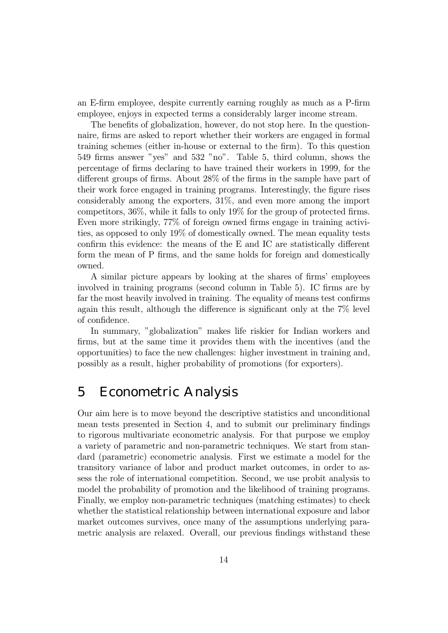an E-firm employee, despite currently earning roughly as much as a P-firm employee, enjoys in expected terms a considerably larger income stream.

The benefits of globalization, however, do not stop here. In the questionnaire, firms are asked to report whether their workers are engaged in formal training schemes (either in-house or external to the firm). To this question 549 firms answer "yes" and 532 "no". Table 5, third column, shows the percentage of firms declaring to have trained their workers in 1999, for the different groups of firms. About 28% of the firms in the sample have part of their work force engaged in training programs. Interestingly, the figure rises considerably among the exporters, 31%, and even more among the import competitors, 36%, while it falls to only 19% for the group of protected firms. Even more strikingly, 77% of foreign owned firms engage in training activities, as opposed to only 19% of domestically owned. The mean equality tests confirm this evidence: the means of the E and IC are statistically different form the mean of P firms, and the same holds for foreign and domestically owned.

A similar picture appears by looking at the shares of firms' employees involved in training programs (second column in Table 5). IC firms are by far the most heavily involved in training. The equality of means test confirms again this result, although the difference is significant only at the 7% level of confidence.

In summary, "globalization" makes life riskier for Indian workers and firms, but at the same time it provides them with the incentives (and the opportunities) to face the new challenges: higher investment in training and, possibly as a result, higher probability of promotions (for exporters).

## 5 Econometric Analysis

Our aim here is to move beyond the descriptive statistics and unconditional mean tests presented in Section 4, and to submit our preliminary findings to rigorous multivariate econometric analysis. For that purpose we employ a variety of parametric and non-parametric techniques. We start from standard (parametric) econometric analysis. First we estimate a model for the transitory variance of labor and product market outcomes, in order to assess the role of international competition. Second, we use probit analysis to model the probability of promotion and the likelihood of training programs. Finally, we employ non-parametric techniques (matching estimates) to check whether the statistical relationship between international exposure and labor market outcomes survives, once many of the assumptions underlying parametric analysis are relaxed. Overall, our previous findings withstand these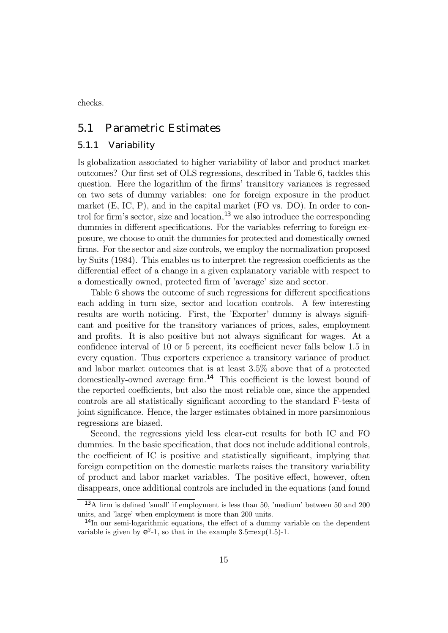checks.

### 5.1 Parametric Estimates

#### 5.1.1 Variability

Is globalization associated to higher variability of labor and product market outcomes? Our first set of OLS regressions, described in Table 6, tackles this question. Here the logarithm of the firms' transitory variances is regressed on two sets of dummy variables: one for foreign exposure in the product market (E, IC, P), and in the capital market (FO vs. DO). In order to control for firm's sector, size and location,<sup>13</sup> we also introduce the corresponding dummies in different specifications. For the variables referring to foreign exposure, we choose to omit the dummies for protected and domestically owned firms. For the sector and size controls, we employ the normalization proposed by Suits (1984). This enables us to interpret the regression coefficients as the differential effect of a change in a given explanatory variable with respect to a domestically owned, protected firm of 'average' size and sector.

Table 6 shows the outcome of such regressions for different specifications each adding in turn size, sector and location controls. A few interesting results are worth noticing. First, the 'Exporter' dummy is always significant and positive for the transitory variances of prices, sales, employment and profits. It is also positive but not always significant for wages. At a confidence interval of 10 or 5 percent, its coefficient never falls below 1.5 in every equation. Thus exporters experience a transitory variance of product and labor market outcomes that is at least 3.5% above that of a protected domestically-owned average firm.<sup>14</sup> This coefficient is the lowest bound of the reported coefficients, but also the most reliable one, since the appended controls are all statistically significant according to the standard F-tests of joint significance. Hence, the larger estimates obtained in more parsimonious regressions are biased.

Second, the regressions yield less clear-cut results for both IC and FO dummies. In the basic specification, that does not include additional controls, the coefficient of IC is positive and statistically significant, implying that foreign competition on the domestic markets raises the transitory variability of product and labor market variables. The positive effect, however, often disappears, once additional controls are included in the equations (and found

 $13A$  firm is defined 'small' if employment is less than 50, 'medium' between 50 and 200 units, and 'large' when employment is more than 200 units.

<sup>&</sup>lt;sup>14</sup>In our semi-logarithmic equations, the effect of a dummy variable on the dependent variable is given by  $e^{\beta}$ -1, so that in the example 3.5=exp(1.5)-1.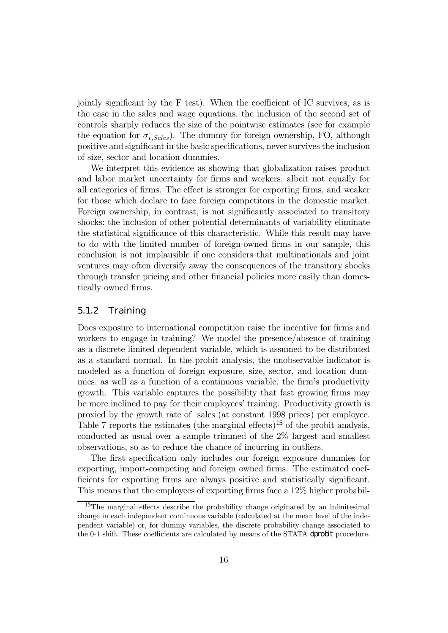jointly significant by the F test). When the coefficient of IC survives, as is the case in the sales and wage equations, the inclusion of the second set of controls sharply reduces the size of the pointwise estimates (see for example the equation for  $\sigma_{v,Sales}$ ). The dummy for foreign ownership, FO, although positive and significant in the basic specifications, never survives the inclusion of size, sector and location dummies.

We interpret this evidence as showing that globalization raises product and labor market uncertainty for firms and workers, albeit not equally for all categories of firms. The effect is stronger for exporting firms, and weaker for those which declare to face foreign competitors in the domestic market. Foreign ownership, in contrast, is not significantly associated to transitory shocks: the inclusion of other potential determinants of variability eliminate the statistical significance of this characteristic. While this result may have to do with the limited number of foreign-owned firms in our sample, this conclusion is not implausible if one considers that multinationals and joint ventures may often diversify away the consequences of the transitory shocks through transfer pricing and other financial policies more easily than domestically owned firms.

#### 5.1.2 Training

Does exposure to international competition raise the incentive for firms and workers to engage in training? We model the presence/absence of training as a discrete limited dependent variable, which is assumed to be distributed as a standard normal. In the probit analysis, the unobservable indicator is modeled as a function of foreign exposure, size, sector, and location dummies, as well as a function of a continuous variable, the firmís productivity growth. This variable captures the possibility that fast growing firms may be more inclined to pay for their employees' training. Productivity growth is proxied by the growth rate of sales (at constant 1998 prices) per employee. Table 7 reports the estimates (the marginal effects)<sup>15</sup> of the probit analysis, conducted as usual over a sample trimmed of the 2% largest and smallest observations, so as to reduce the chance of incurring in outliers.

The first specification only includes our foreign exposure dummies for exporting, import-competing and foreign owned firms. The estimated coefficients for exporting firms are always positive and statistically significant. This means that the employees of exporting firms face a 12% higher probabil-

<sup>&</sup>lt;sup>15</sup>The marginal effects describe the probability change originated by an infinitesimal change in each independent continuous variable (calculated at the mean level of the independent variable) or, for dummy variables, the discrete probability change associated to the 0-1 shift. These coefficients are calculated by means of the STATA dprobit procedure.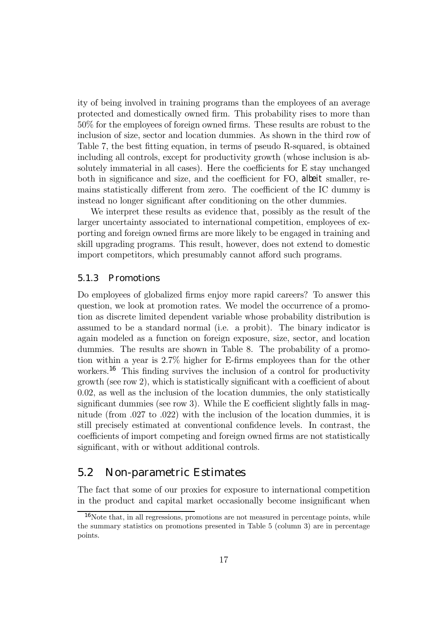ity of being involved in training programs than the employees of an average protected and domestically owned firm. This probability rises to more than 50% for the employees of foreign owned firms. These results are robust to the inclusion of size, sector and location dummies. As shown in the third row of Table 7, the best fitting equation, in terms of pseudo R-squared, is obtained including all controls, except for productivity growth (whose inclusion is absolutely immaterial in all cases). Here the coefficients for E stay unchanged both in significance and size, and the coefficient for FO, albeit smaller, remains statistically different from zero. The coefficient of the IC dummy is instead no longer significant after conditioning on the other dummies.

We interpret these results as evidence that, possibly as the result of the larger uncertainty associated to international competition, employees of exporting and foreign owned firms are more likely to be engaged in training and skill upgrading programs. This result, however, does not extend to domestic import competitors, which presumably cannot afford such programs.

#### 5.1.3 Promotions

Do employees of globalized firms enjoy more rapid careers? To answer this question, we look at promotion rates. We model the occurrence of a promotion as discrete limited dependent variable whose probability distribution is assumed to be a standard normal (i.e. a probit). The binary indicator is again modeled as a function on foreign exposure, size, sector, and location dummies. The results are shown in Table 8. The probability of a promotion within a year is 2.7% higher for E-firms employees than for the other workers.<sup>16</sup> This finding survives the inclusion of a control for productivity growth (see row 2), which is statistically significant with a coefficient of about 0.02, as well as the inclusion of the location dummies, the only statistically significant dummies (see row 3). While the E coefficient slightly falls in magnitude (from .027 to .022) with the inclusion of the location dummies, it is still precisely estimated at conventional confidence levels. In contrast, the coefficients of import competing and foreign owned firms are not statistically significant, with or without additional controls.

### 5.2 Non-parametric Estimates

The fact that some of our proxies for exposure to international competition in the product and capital market occasionally become insignificant when

<sup>&</sup>lt;sup>16</sup>Note that, in all regressions, promotions are not measured in percentage points, while the summary statistics on promotions presented in Table 5 (column 3) are in percentage points.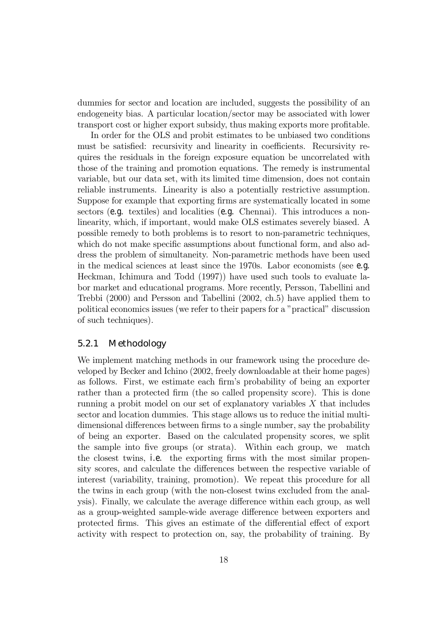dummies for sector and location are included, suggests the possibility of an endogeneity bias. A particular location/sector may be associated with lower transport cost or higher export subsidy, thus making exports more profitable.

In order for the OLS and probit estimates to be unbiased two conditions must be satisfied: recursivity and linearity in coefficients. Recursivity requires the residuals in the foreign exposure equation be uncorrelated with those of the training and promotion equations. The remedy is instrumental variable, but our data set, with its limited time dimension, does not contain reliable instruments. Linearity is also a potentially restrictive assumption. Suppose for example that exporting firms are systematically located in some sectors (e.g. textiles) and localities (e.g. Chennai). This introduces a nonlinearity, which, if important, would make OLS estimates severely biased. A possible remedy to both problems is to resort to non-parametric techniques, which do not make specific assumptions about functional form, and also address the problem of simultaneity. Non-parametric methods have been used in the medical sciences at least since the 1970s. Labor economists (see e.g. Heckman, Ichimura and Todd (1997)) have used such tools to evaluate labor market and educational programs. More recently, Persson, Tabellini and Trebbi (2000) and Persson and Tabellini (2002, ch.5) have applied them to political economics issues (we refer to their papers for a "practical" discussion of such techniques).

#### 5.2.1 Methodology

We implement matching methods in our framework using the procedure developed by Becker and Ichino (2002, freely downloadable at their home pages) as follows. First, we estimate each firmís probability of being an exporter rather than a protected firm (the so called propensity score). This is done running a probit model on our set of explanatory variables  $X$  that includes sector and location dummies. This stage allows us to reduce the initial multidimensional differences between firms to a single number, say the probability of being an exporter. Based on the calculated propensity scores, we split the sample into five groups (or strata). Within each group, we match the closest twins, i.e. the exporting firms with the most similar propensity scores, and calculate the differences between the respective variable of interest (variability, training, promotion). We repeat this procedure for all the twins in each group (with the non-closest twins excluded from the analysis). Finally, we calculate the average difference within each group, as well as a group-weighted sample-wide average difference between exporters and protected firms. This gives an estimate of the differential effect of export activity with respect to protection on, say, the probability of training. By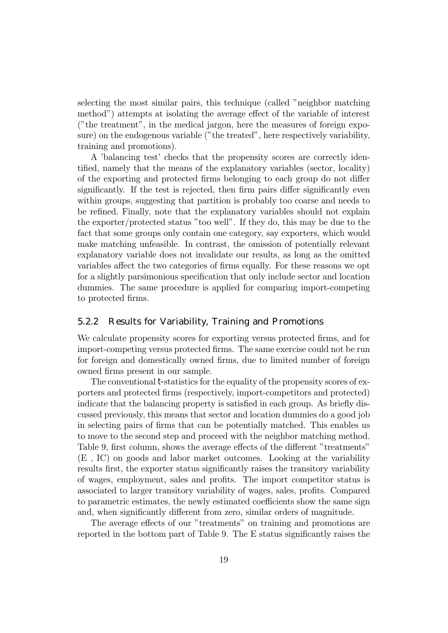selecting the most similar pairs, this technique (called "neighbor matching") methodî) attempts at isolating the average effect of the variable of interest ("the treatment", in the medical jargon, here the measures of foreign exposure) on the endogenous variable ("the treated", here respectively variability, training and promotions).

A 'balancing test' checks that the propensity scores are correctly identified, namely that the means of the explanatory variables (sector, locality) of the exporting and protected firms belonging to each group do not differ significantly. If the test is rejected, then firm pairs differ significantly even within groups, suggesting that partition is probably too coarse and needs to be refined. Finally, note that the explanatory variables should not explain the exporter/protected status "too well". If they do, this may be due to the fact that some groups only contain one category, say exporters, which would make matching unfeasible. In contrast, the omission of potentially relevant explanatory variable does not invalidate our results, as long as the omitted variables affect the two categories of firms equally. For these reasons we opt for a slightly parsimonious specification that only include sector and location dummies. The same procedure is applied for comparing import-competing to protected firms.

#### 5.2.2 Results for Variability, Training and Promotions

We calculate propensity scores for exporting versus protected firms, and for import-competing versus protected firms. The same exercise could not be run for foreign and domestically owned firms, due to limited number of foreign owned firms present in our sample.

The conventional t-statistics for the equality of the propensity scores of exporters and protected firms (respectively, import-competitors and protected) indicate that the balancing property is satisfied in each group. As briefly discussed previously, this means that sector and location dummies do a good job in selecting pairs of firms that can be potentially matched. This enables us to move to the second step and proceed with the neighbor matching method. Table 9, first column, shows the average effects of the different "treatments" (E , IC) on goods and labor market outcomes. Looking at the variability results first, the exporter status significantly raises the transitory variability of wages, employment, sales and profits. The import competitor status is associated to larger transitory variability of wages, sales, profits. Compared to parametric estimates, the newly estimated coefficients show the same sign and, when significantly different from zero, similar orders of magnitude.

The average effects of our "treatments" on training and promotions are reported in the bottom part of Table 9. The E status significantly raises the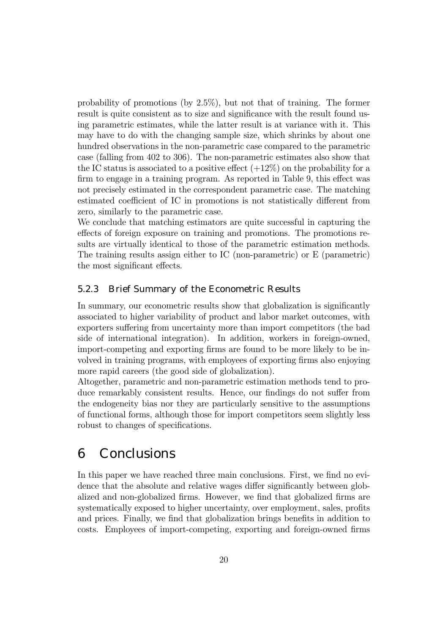probability of promotions (by 2.5%), but not that of training. The former result is quite consistent as to size and significance with the result found using parametric estimates, while the latter result is at variance with it. This may have to do with the changing sample size, which shrinks by about one hundred observations in the non-parametric case compared to the parametric case (falling from 402 to 306). The non-parametric estimates also show that the IC status is associated to a positive effect  $(+12\%)$  on the probability for a firm to engage in a training program. As reported in Table 9, this effect was not precisely estimated in the correspondent parametric case. The matching estimated coefficient of IC in promotions is not statistically different from zero, similarly to the parametric case.

We conclude that matching estimators are quite successful in capturing the effects of foreign exposure on training and promotions. The promotions results are virtually identical to those of the parametric estimation methods. The training results assign either to IC (non-parametric) or E (parametric) the most significant effects.

#### 5.2.3 Brief Summary of the Econometric Results

In summary, our econometric results show that globalization is significantly associated to higher variability of product and labor market outcomes, with exporters suffering from uncertainty more than import competitors (the bad side of international integration). In addition, workers in foreign-owned, import-competing and exporting firms are found to be more likely to be involved in training programs, with employees of exporting firms also enjoying more rapid careers (the good side of globalization).

Altogether, parametric and non-parametric estimation methods tend to produce remarkably consistent results. Hence, our findings do not suffer from the endogeneity bias nor they are particularly sensitive to the assumptions of functional forms, although those for import competitors seem slightly less robust to changes of specifications.

## 6 Conclusions

In this paper we have reached three main conclusions. First, we find no evidence that the absolute and relative wages differ significantly between globalized and non-globalized firms. However, we find that globalized firms are systematically exposed to higher uncertainty, over employment, sales, profits and prices. Finally, we find that globalization brings benefits in addition to costs. Employees of import-competing, exporting and foreign-owned firms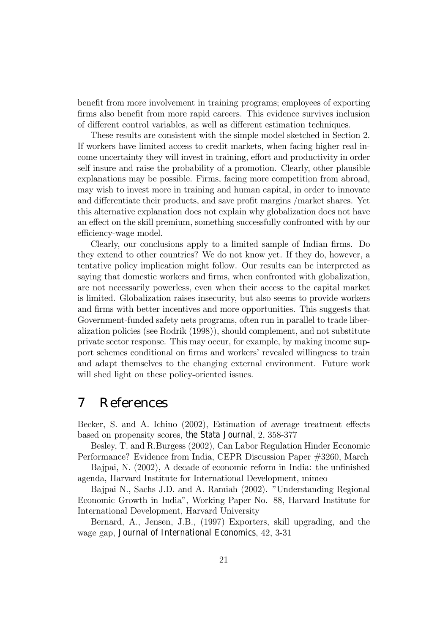benefit from more involvement in training programs; employees of exporting firms also benefit from more rapid careers. This evidence survives inclusion of different control variables, as well as different estimation techniques.

These results are consistent with the simple model sketched in Section 2. If workers have limited access to credit markets, when facing higher real income uncertainty they will invest in training, effort and productivity in order self insure and raise the probability of a promotion. Clearly, other plausible explanations may be possible. Firms, facing more competition from abroad, may wish to invest more in training and human capital, in order to innovate and differentiate their products, and save profit margins /market shares. Yet this alternative explanation does not explain why globalization does not have an effect on the skill premium, something successfully confronted with by our efficiency-wage model.

Clearly, our conclusions apply to a limited sample of Indian firms. Do they extend to other countries? We do not know yet. If they do, however, a tentative policy implication might follow. Our results can be interpreted as saying that domestic workers and firms, when confronted with globalization, are not necessarily powerless, even when their access to the capital market is limited. Globalization raises insecurity, but also seems to provide workers and firms with better incentives and more opportunities. This suggests that Government-funded safety nets programs, often run in parallel to trade liberalization policies (see Rodrik (1998)), should complement, and not substitute private sector response. This may occur, for example, by making income support schemes conditional on firms and workers' revealed willingness to train and adapt themselves to the changing external environment. Future work will shed light on these policy-oriented issues.

## 7 References

Becker, S. and A. Ichino (2002), Estimation of average treatment effects based on propensity scores, the Stata Journal, 2, 358-377

Besley, T. and R.Burgess (2002), Can Labor Regulation Hinder Economic Performance? Evidence from India, CEPR Discussion Paper #3260, March

Bajpai, N. (2002), A decade of economic reform in India: the unfinished agenda, Harvard Institute for International Development, mimeo

Bajpai N., Sachs J.D. and A. Ramiah (2002). "Understanding Regional Economic Growth in Indiaî, Working Paper No. 88, Harvard Institute for International Development, Harvard University

Bernard, A., Jensen, J.B., (1997) Exporters, skill upgrading, and the wage gap, Journal of International Economics, 42, 3-31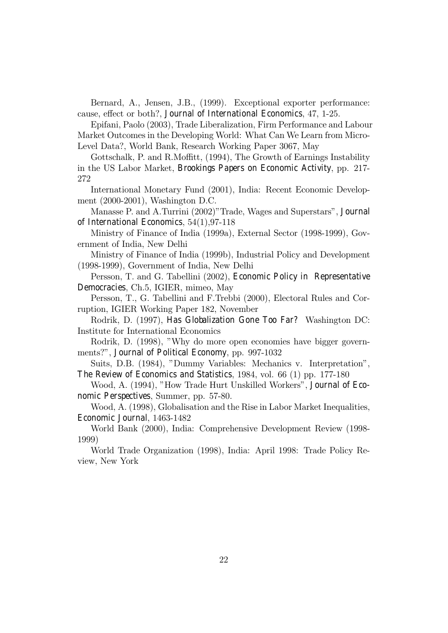Bernard, A., Jensen, J.B., (1999). Exceptional exporter performance: cause, effect or both?, Journal of International Economics, 47, 1-25.

Epifani, Paolo (2003), Trade Liberalization, Firm Performance and Labour Market Outcomes in the Developing World: What Can We Learn from Micro-Level Data?, World Bank, Research Working Paper 3067, May

Gottschalk, P. and R.Moffitt, (1994), The Growth of Earnings Instability in the US Labor Market, Brookings Papers on Economic Activity, pp. 217- 272

International Monetary Fund (2001), India: Recent Economic Development (2000-2001), Washington D.C.

Manasse P. and A.Turrini (2002)"Trade, Wages and Superstars", Journal of International Economics, 54(1),97-118

Ministry of Finance of India (1999a), External Sector (1998-1999), Government of India, New Delhi

Ministry of Finance of India (1999b), Industrial Policy and Development (1998-1999), Government of India, New Delhi

Persson, T. and G. Tabellini (2002), Economic Policy in Representative Democracies, Ch.5, IGIER, mimeo, May

Persson, T., G. Tabellini and F.Trebbi (2000), Electoral Rules and Corruption, IGIER Working Paper 182, November

Rodrik, D. (1997), Has Globalization Gone Too Far? Washington DC: Institute for International Economics

Rodrik, D. (1998), "Why do more open economies have bigger governments?", Journal of Political Economy, pp. 997-1032

Suits, D.B. (1984), "Dummy Variables: Mechanics v. Interpretation", The Review of Economics and Statistics, 1984, vol. 66 (1) pp. 177-180

Wood, A. (1994), "How Trade Hurt Unskilled Workers", Journal of Economic Perspectives, Summer, pp. 57-80.

Wood, A. (1998), Globalisation and the Rise in Labor Market Inequalities, Economic Journal, 1463-1482

World Bank (2000), India: Comprehensive Development Review (1998- 1999)

World Trade Organization (1998), India: April 1998: Trade Policy Review, New York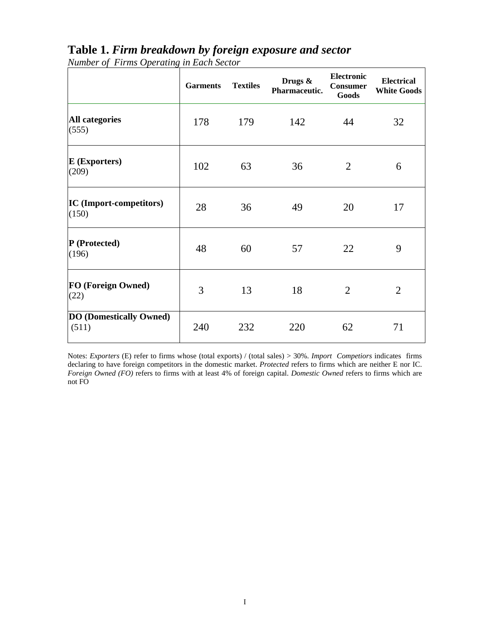|                                         | <b>Garments</b> | <b>Textiles</b> | Drugs &<br>Pharmaceutic. | Electronic<br><b>Consumer</b><br>Goods | <b>Electrical</b><br><b>White Goods</b> |
|-----------------------------------------|-----------------|-----------------|--------------------------|----------------------------------------|-----------------------------------------|
| <b>All categories</b><br>(555)          | 178             | 179             | 142                      | 44                                     | 32                                      |
| <b>E</b> (Exporters)<br>(209)           | 102             | 63              | 36                       | $\overline{2}$                         | 6                                       |
| <b>IC</b> (Import-competitors)<br>(150) | 28              | 36              | 49                       | 20                                     | 17                                      |
| P (Protected)<br>(196)                  | 48              | 60              | 57                       | 22                                     | 9                                       |
| FO (Foreign Owned)<br>(22)              | 3               | 13              | 18                       | $\overline{2}$                         | $\overline{2}$                          |
| <b>DO (Domestically Owned)</b><br>(511) | 240             | 232             | 220                      | 62                                     | 71                                      |

## **Table 1.** *Firm breakdown by foreign exposure and sector*

*Number of Firms Operating in Each Sector* 

Notes: *Exporters* (E) refer to firms whose (total exports) / (total sales) > 30%. *Import Competiors* indicates firms declaring to have foreign competitors in the domestic market. *Protected* refers to firms which are neither E nor IC. *Foreign Owned (FO)* refers to firms with at least 4% of foreign capital. *Domestic Owned* refers to firms which are not FO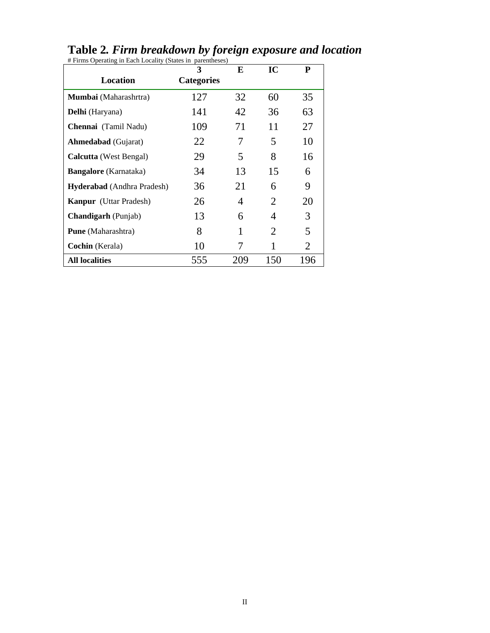|                               | 3                 | E   | IC  | ${\bf P}$ |
|-------------------------------|-------------------|-----|-----|-----------|
| <b>Location</b>               | <b>Categories</b> |     |     |           |
| Mumbai (Maharashrtra)         | 127               | 32  | 60  | 35        |
| Delhi (Haryana)               | 141               | 42  | 36  | 63        |
| Chennai (Tamil Nadu)          | 109               | 71  | 11  | 27        |
| <b>Ahmedabad</b> (Gujarat)    | 22                | 7   | 5   | 10        |
| <b>Calcutta</b> (West Bengal) | 29                | 5   | 8   | 16        |
| <b>Bangalore</b> (Karnataka)  | 34                | 13  | 15  | 6         |
| Hyderabad (Andhra Pradesh)    | 36                | 21  | 6   | 9         |
| <b>Kanpur</b> (Uttar Pradesh) | 26                | 4   | 2   | 20        |
| <b>Chandigarh</b> (Punjab)    | 13                | 6   | 4   | 3         |
| <b>Pune</b> (Maharashtra)     | 8                 | 1   | 2   | 5         |
| Cochin (Kerala)               | 10                |     |     | 2         |
| <b>All localities</b>         | 555               | 209 | 150 | 196       |

#### **Table 2***. Firm breakdown by foreign exposure and location*  # Firms Operating in Each Locality (States in parentheses)

II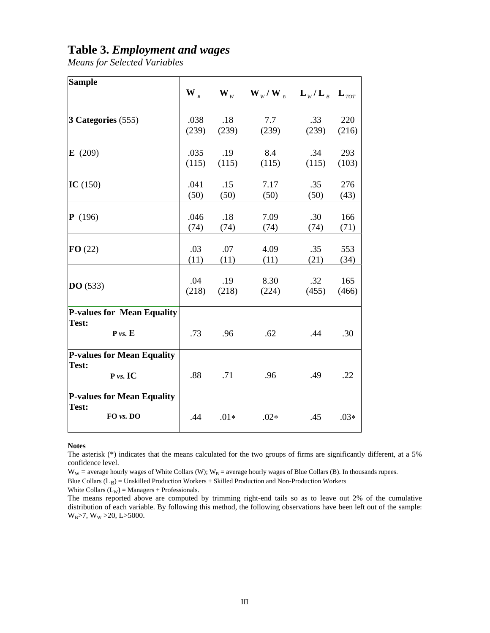### **Table 3.** *Employment and wages*

*Means for Selected Variables*

| <b>Sample</b>                                           |                                      |        |                                                                                                     |         |        |
|---------------------------------------------------------|--------------------------------------|--------|-----------------------------------------------------------------------------------------------------|---------|--------|
|                                                         | $\mathbf{W}_{\scriptscriptstyle{B}}$ |        | $\mathbf{W}_{W}$ $\mathbf{W}_{W}/\mathbf{W}_{B}$ $\mathbf{L}_{W}/\mathbf{L}_{B}$ $\mathbf{L}_{TOT}$ |         |        |
| 3 Categories (555)                                      | .038                                 | .18    | 7.7                                                                                                 | .33     | 220    |
|                                                         | (239)                                | (239)  | (239)                                                                                               | (239)   | (216)  |
| E(209)                                                  | .035                                 | .19    | 8.4                                                                                                 | .34     | 293    |
|                                                         | (115)                                | (115)  | (115)                                                                                               | (115)   | (103)  |
| IC $(150)$                                              | .041                                 | .15    | 7.17                                                                                                | .35     | 276    |
|                                                         | (50)                                 | (50)   | (50)                                                                                                | (50)    | (43)   |
| P(196)                                                  | .046                                 | .18    | 7.09                                                                                                | .30     | 166    |
|                                                         | (74)                                 | (74)   | (74)                                                                                                | (74)    | (71)   |
| FO(22)                                                  | .03                                  | .07    | 4.09                                                                                                | .35     | 553    |
|                                                         | (11)                                 | (11)   | (11)                                                                                                | (21)    | (34)   |
| DO(533)                                                 | .04                                  | .19    | 8.30                                                                                                | $.32\,$ | 165    |
|                                                         | (218)                                | (218)  | (224)                                                                                               | (455)   | (466)  |
| <b>P-values for Mean Equality</b><br>Test:<br>P vs. E   | .73                                  | .96    | .62                                                                                                 | .44     | .30    |
| <b>P-values for Mean Equality</b><br>Test:<br>P vs. IC  | .88                                  | .71    | .96                                                                                                 | .49     | .22    |
| <b>P-values for Mean Equality</b><br>Test:<br>FO vs. DO | .44                                  | $.01*$ | $.02*$                                                                                              | .45     | $.03*$ |

**Notes** 

The asterisk (\*) indicates that the means calculated for the two groups of firms are significantly different, at a 5% confidence level.

 $W_W$  = average hourly wages of White Collars (W);  $W_B$  = average hourly wages of Blue Collars (B). In thousands rupees.

Blue Collars  $(L_B)$  = Unskilled Production Workers + Skilled Production and Non-Production Workers

White Collars  $(L_W)$  = Managers + Professionals.

The means reported above are computed by trimming right-end tails so as to leave out 2% of the cumulative distribution of each variable. By following this method, the following observations have been left out of the sample:  $W_B > 7$ ,  $W_W > 20$ , L $> 5000$ .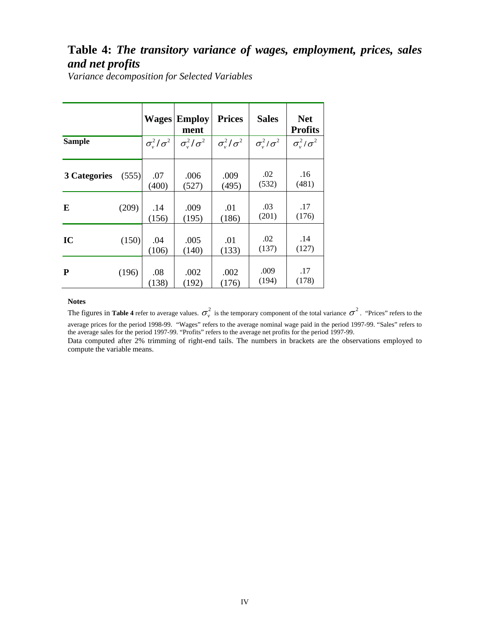## **Table 4:** *The transitory variance of wages, employment, prices, sales and net profits*

*Variance decomposition for Selected Variables* 

|               |       |                       | <b>Wages Employ</b><br>ment | <b>Prices</b>         | <b>Sales</b>                | <b>Net</b><br><b>Profits</b> |
|---------------|-------|-----------------------|-----------------------------|-----------------------|-----------------------------|------------------------------|
| <b>Sample</b> |       | $\sigma_v^2/\sigma^2$ | $\sigma_v^2/\sigma^2$       | $\sigma_v^2/\sigma^2$ | $\sigma_{\rm u}^2/\sigma^2$ | $\sigma_v^2/\sigma^2$        |
| 3 Categories  | (555) | .07<br>(400)          | .006<br>(527)               | .009<br>(495)         | .02<br>(532)                | .16<br>(481)                 |
| E             | (209) | .14<br>(156)          | .009<br>(195)               | .01<br>(186)          | .03<br>(201)                | .17<br>(176)                 |
| IC            | (150) | .04<br>(106)          | .005<br>(140)               | .01<br>(133)          | .02<br>(137)                | .14<br>(127)                 |
| ${\bf P}$     | (196) | .08<br>(138)          | .002<br>(192)               | .002<br>(176)         | .009<br>(194)               | .17<br>(178)                 |

#### **Notes**

The figures in **Table 4** refer to average values.  $\sigma_v^2$  is the temporary component of the total variance  $\sigma^2$ . "Prices" refers to the average prices for the period 1998-99. "Wages" refers to the average nominal wage paid in the period 1997-99. "Sales" refers to the average sales for the period 1997-99. "Profits" refers to the average net profits for the period 1997-99. Data computed after 2% trimming of right-end tails. The numbers in brackets are the observations employed to compute the variable means.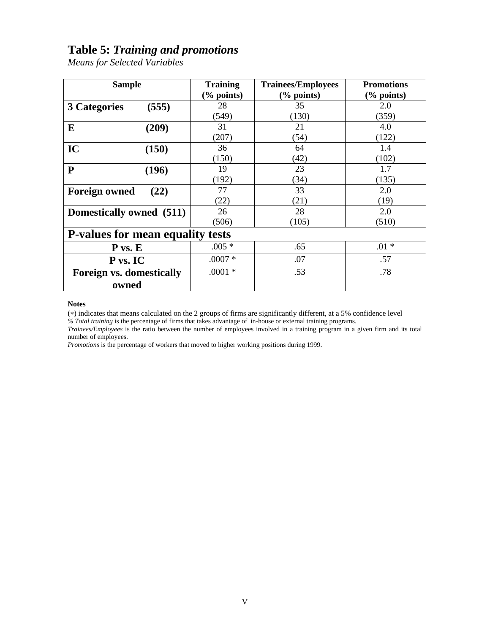## **Table 5:** *Training and promotions*

*Means for Selected Variables* 

| <b>Sample</b>                           | <b>Training</b><br>$\frac{6}{6}$ points) | <b>Trainees/Employees</b><br>$\frac{6}{6}$ points) | <b>Promotions</b><br>$(\%$ points) |
|-----------------------------------------|------------------------------------------|----------------------------------------------------|------------------------------------|
| (555)<br><b>3 Categories</b>            | 28                                       | 35                                                 | 2.0                                |
|                                         | (549)                                    | (130)                                              | (359)                              |
| E<br>(209)                              | 31                                       | 21                                                 | 4.0                                |
|                                         | (207)                                    | (54)                                               | (122)                              |
| IC<br>(150)                             | 36                                       | 64                                                 | 1.4                                |
|                                         | (150)                                    | (42)                                               | (102)                              |
| ${\bf P}$<br>(196)                      | 19                                       | 23                                                 | 1.7                                |
|                                         | (192)                                    | (34)                                               | (135)                              |
| <b>Foreign owned</b><br>(22)            | 77                                       | 33                                                 | 2.0                                |
|                                         | (22)                                     | (21)                                               | (19)                               |
| Domestically owned (511)                | 26                                       | 28                                                 | 2.0                                |
|                                         | (506)                                    | (105)                                              | (510)                              |
| <b>P-values for mean equality tests</b> |                                          |                                                    |                                    |
| $P$ vs. $E$                             | $.005*$                                  | .65                                                | $.01 *$                            |
| P vs. IC                                | $.0007 *$                                | .07                                                | .57                                |
| <b>Foreign vs. domestically</b>         | $.0001 *$                                | .53                                                | .78                                |
| owned                                   |                                          |                                                    |                                    |

#### **Notes**

(∗) indicates that means calculated on the 2 groups of firms are significantly different, at a 5% confidence level *% Total training* is the percentage of firms that takes advantage of in-house or external training programs.

*Trainees/Employees* is the ratio between the number of employees involved in a training program in a given firm and its total number of employees.

*Promotions* is the percentage of workers that moved to higher working positions during 1999.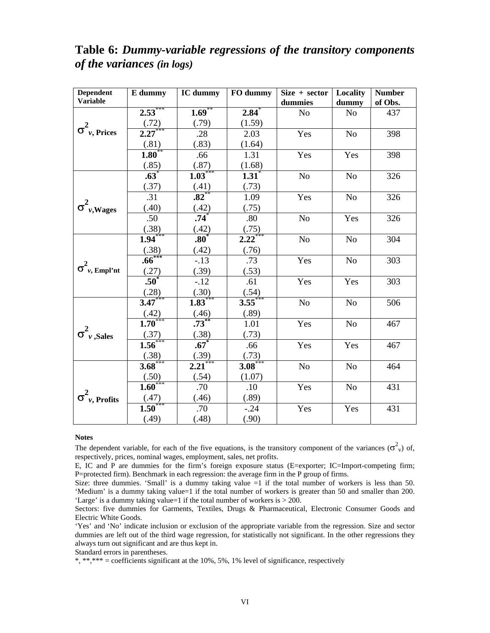| <b>Dependent</b>                  | E dummy              | IC dummy             | FO dummy              | Size + sector  | Locality       | <b>Number</b> |
|-----------------------------------|----------------------|----------------------|-----------------------|----------------|----------------|---------------|
| <b>Variable</b>                   |                      |                      |                       | dummies        | dummy          | of Obs.       |
|                                   | $2.53***$            | $1.69***$            | $2.84*$               | N <sub>o</sub> | N <sub>o</sub> | 437           |
|                                   | $\frac{(.72)}{2.27}$ | (.79)                | (1.59)                |                |                |               |
| $\sigma^2_{\nu, \text{ Prices}}$  |                      | .28                  | 2.03                  | Yes            | N <sub>o</sub> | 398           |
|                                   | $\frac{(.81)}{1.80}$ | (.83)                | (1.64)                |                |                |               |
|                                   |                      | .66                  | 1.31                  | Yes            | Yes            | 398           |
|                                   | (.85)                | $\frac{(.87)}{1.03}$ | (1.68)                |                |                |               |
|                                   | $.63*$               |                      | $1.\overline{31}^{*}$ | No             | N <sub>o</sub> | 326           |
|                                   | (.37)                | $\frac{(.41)}{.82}$  | (.73)                 |                |                |               |
|                                   | .31                  |                      | 1.09                  | Yes            | N <sub>o</sub> | 326           |
| $\sigma^2_{\nu, Wages}$           | (.40)                | $\frac{(.42)}{.74}$  | (.75)                 |                |                |               |
|                                   | .50                  |                      | .80                   | N <sub>o</sub> | Yes            | 326           |
|                                   | (.38)                | $\frac{(.42)}{.80}$  | (.75)                 |                |                |               |
|                                   | $1.94***$            |                      | $2.22***$             | N <sub>o</sub> | N <sub>o</sub> | 304           |
|                                   | $\frac{(.38)}{.66}$  | (.42)                | (.76)                 |                |                |               |
|                                   |                      | $-.13$               | .73                   | Yes            | N <sub>o</sub> | 303           |
| $\sigma_{\nu, \text{ Empl'nt}}^2$ | (.27)                | (.39)                | (.53)                 |                |                |               |
|                                   | $.50^*$              | $-.12$               | .61                   | Yes            | Yes            | 303           |
|                                   | $\frac{(.28)}{3.47}$ | $\frac{(.30)}{1.83}$ | $\frac{(.54)}{3.55}$  |                |                |               |
|                                   |                      |                      |                       | N <sub>o</sub> | N <sub>o</sub> | 506           |
|                                   | $\frac{(.42)}{1.70}$ | $\frac{(.46)}{.73}$  | (.89)                 |                |                |               |
|                                   |                      |                      | 1.01                  | Yes            | N <sub>o</sub> | 467           |
| $\sigma_{\nu, \text{Sales}}^2$    | (.37)                | $\frac{(.38)}{.67}$  | (.73)                 |                |                |               |
|                                   | $1.56^{*}$           |                      | .66                   | Yes            | Yes            | 467           |
|                                   | $\frac{(.38)}{3.68}$ | $\frac{(.39)}{2.21}$ | (.73)                 |                |                |               |
|                                   |                      |                      | $3.08***$             | N <sub>o</sub> | N <sub>o</sub> | 464           |
|                                   | $\frac{(.50)}{1.60}$ | (.54)                | (1.07)                |                |                |               |
|                                   |                      | .70                  | .10                   | Yes            | N <sub>o</sub> | 431           |
| $\sigma_{\nu, \text{Profits}}^2$  | (.47)                | (.46)                | (.89)                 |                |                |               |
|                                   | $\overline{1.50}^*$  | .70                  | $-.24$                | Yes            | Yes            | 431           |
|                                   | (.49)                | (.48)                | (.90)                 |                |                |               |

## **Table 6:** *Dummy-variable regressions of the transitory components of the variances (in logs)*

#### **Notes**

The dependent variable, for each of the five equations, is the transitory component of the variances  $(\sigma_v^2)$  of, respectively, prices, nominal wages, employment, sales, net profits.

E, IC and P are dummies for the firm's foreign exposure status (E=exporter; IC=Import-competing firm; P=protected firm). Benchmark in each regression: the average firm in the P group of firms.

Size: three dummies. 'Small' is a dummy taking value  $=1$  if the total number of workers is less than 50. 'Medium' is a dummy taking value=1 if the total number of workers is greater than 50 and smaller than 200. 'Large' is a dummy taking value=1 if the total number of workers is > 200.

Sectors: five dummies for Garments, Textiles, Drugs & Pharmaceutical, Electronic Consumer Goods and Electric White Goods.

'Yes' and 'No' indicate inclusion or exclusion of the appropriate variable from the regression. Size and sector dummies are left out of the third wage regression, for statistically not significant. In the other regressions they always turn out significant and are thus kept in.

Standard errors in parentheses.

 $*, **** = coefficients$  significant at the 10%, 5%, 1% level of significance, respectively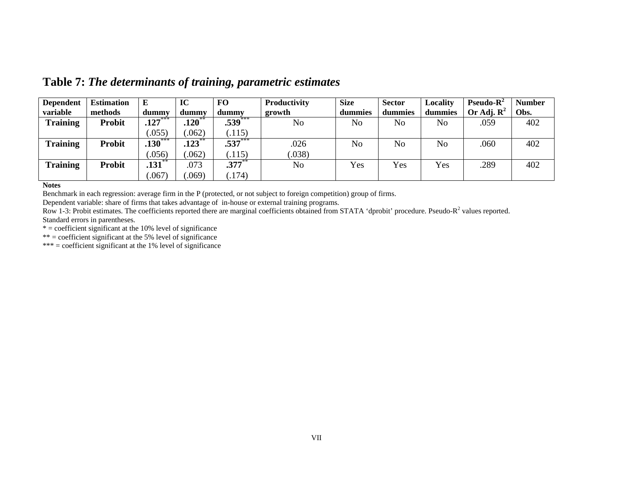| <b>Dependent</b> | <b>Estimation</b> | E                      | IC       | FO        | Productivity   | <b>Size</b>    | <b>Sector</b>  | Localitv       | Pseudo- $R^2$          | <b>Number</b> |
|------------------|-------------------|------------------------|----------|-----------|----------------|----------------|----------------|----------------|------------------------|---------------|
| variable         | methods           | dummy                  | dummv    | dummy     | growth         | dummies        | dummies        | dummies        | Or Adj. $\mathbf{R}^2$ | Obs.          |
| <b>Training</b>  | <b>Probit</b>     | $.127***$              | $.120**$ | $.539***$ | N <sub>0</sub> | No             | No             | No             | .059                   | 402           |
|                  |                   | 0.055                  | .062)    | (.115)    |                |                |                |                |                        |               |
| <b>Training</b>  | <b>Probit</b>     | $.130***$              | .123     | $.537***$ | .026           | N <sub>o</sub> | N <sub>o</sub> | N <sub>o</sub> | .060                   | 402           |
|                  |                   | .056)                  | .062)    | .115)     | .038)          |                |                |                |                        |               |
| <b>Training</b>  | <b>Probit</b>     | $\overline{.131}^{**}$ | .073     | $.377**$  | N <sub>o</sub> | Yes            | Yes            | Yes            | .289                   | 402           |
|                  |                   | .067                   | .069)    | .174)     |                |                |                |                |                        |               |

**Table 7:** *The determinants of training, parametric estimates* 

**Notes** 

Benchmark in each regression: average firm in the P (protected, or not subject to foreign competition) group of firms.

Dependent variable: share of firms that takes advantage of in-house or external training programs.

Row 1-3: Probit estimates. The coefficients reported there are marginal coefficients obtained from STATA 'dprobit' procedure. Pseudo-R<sup>2</sup> values reported. Standard errors in parentheses.

 $* =$  coefficient significant at the 10% level of significance

 $** =$  coefficient significant at the 5% level of significance

 $*** = coefficient$  significant at the 1% level of significance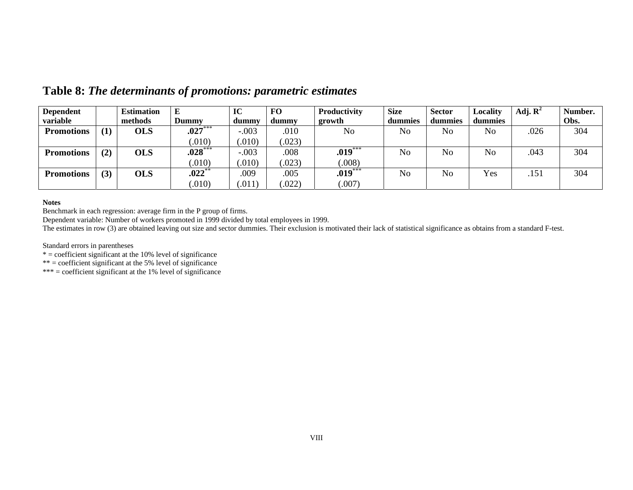| <b>Dependent</b>  |     | <b>Estimation</b> | E            | IC      | <b>FO</b> | Productivity | <b>Size</b> | <b>Sector</b>  | Locality       | Adj. $\mathbf{R}^2$ | Number. |
|-------------------|-----|-------------------|--------------|---------|-----------|--------------|-------------|----------------|----------------|---------------------|---------|
| variable          |     | methods           | <b>Dummy</b> | dummy   | dummy     | growth       | dummies     | dummies        | dummies        |                     | Obs.    |
| <b>Promotions</b> | (1) | <b>OLS</b>        | $.027***$    | $-.003$ | .010      | No           | No          | N <sub>o</sub> | N <sub>o</sub> | .026                | 304     |
|                   |     |                   | .010)        | .010)   | .023)     |              |             |                |                |                     |         |
| <b>Promotions</b> | (2) | <b>OLS</b>        | $.028***$    | $-.003$ | .008      | $.019***$    | No          | No             | N <sub>o</sub> | .043                | 304     |
|                   |     |                   | .010)        | .010)   | .023)     | .008)        |             |                |                |                     |         |
| <b>Promotions</b> | (3) | <b>OLS</b>        | $.022**$     | .009    | .005      | $.019***$    | No          | No             | Yes            | .151                | 304     |
|                   |     |                   | .010)        | .011    | .022)     | 007)         |             |                |                |                     |         |

**Table 8:** *The determinants of promotions: parametric estimates*

#### **Notes**

Benchmark in each regression: average firm in the P group of firms.

Dependent variable: Number of workers promoted in 1999 divided by total employees in 1999.

The estimates in row (3) are obtained leaving out size and sector dummies. Their exclusion is motivated their lack of statistical significance as obtains from a standard F-test.

Standard errors in parentheses

\* = coefficient significant at the 10% level of significance

\*\* = coefficient significant at the 5% level of significance

 $*** = coefficient$  significant at the 1% level of significance